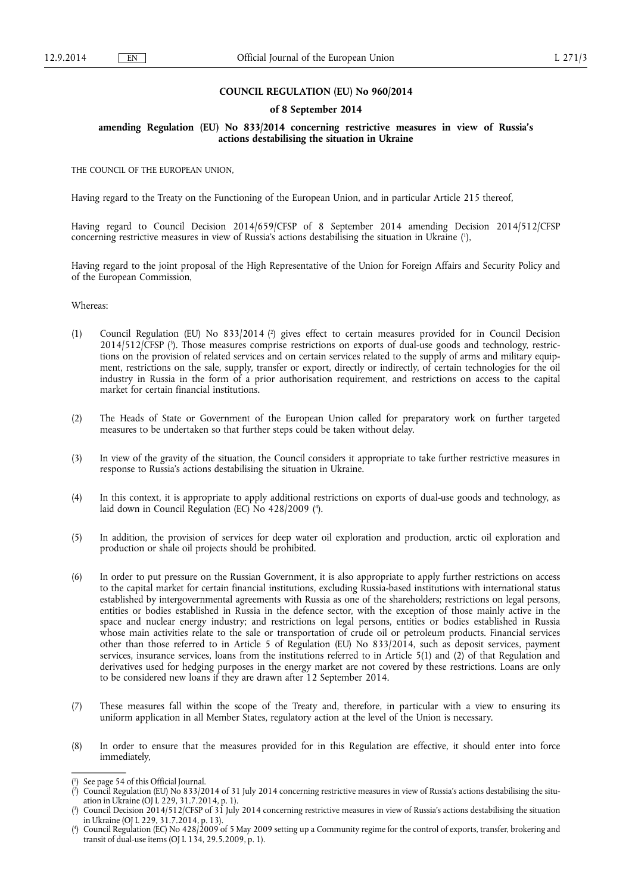## **COUNCIL REGULATION (EU) No 960/2014**

### **of 8 September 2014**

## **amending Regulation (EU) No 833/2014 concerning restrictive measures in view of Russia's actions destabilising the situation in Ukraine**

THE COUNCIL OF THE EUROPEAN UNION,

Having regard to the Treaty on the Functioning of the European Union, and in particular Article 215 thereof,

Having regard to Council Decision 2014/659/CFSP of 8 September 2014 amending Decision 2014/512/CFSP concerning restrictive measures in view of Russia's actions destabilising the situation in Ukraine ( 1 ),

Having regard to the joint proposal of the High Representative of the Union for Foreign Affairs and Security Policy and of the European Commission,

Whereas:

- (1) Council Regulation (EU) No 833/2014 ( 2 ) gives effect to certain measures provided for in Council Decision 2014/512/CFSP ( 3 ). Those measures comprise restrictions on exports of dual-use goods and technology, restrictions on the provision of related services and on certain services related to the supply of arms and military equipment, restrictions on the sale, supply, transfer or export, directly or indirectly, of certain technologies for the oil industry in Russia in the form of a prior authorisation requirement, and restrictions on access to the capital market for certain financial institutions.
- (2) The Heads of State or Government of the European Union called for preparatory work on further targeted measures to be undertaken so that further steps could be taken without delay.
- (3) In view of the gravity of the situation, the Council considers it appropriate to take further restrictive measures in response to Russia's actions destabilising the situation in Ukraine.
- (4) In this context, it is appropriate to apply additional restrictions on exports of dual-use goods and technology, as laid down in Council Regulation (EC) No 428/2009 ( 4 ).
- (5) In addition, the provision of services for deep water oil exploration and production, arctic oil exploration and production or shale oil projects should be prohibited.
- (6) In order to put pressure on the Russian Government, it is also appropriate to apply further restrictions on access to the capital market for certain financial institutions, excluding Russia-based institutions with international status established by intergovernmental agreements with Russia as one of the shareholders; restrictions on legal persons, entities or bodies established in Russia in the defence sector, with the exception of those mainly active in the space and nuclear energy industry; and restrictions on legal persons, entities or bodies established in Russia whose main activities relate to the sale or transportation of crude oil or petroleum products. Financial services other than those referred to in Article 5 of Regulation (EU) No 833/2014, such as deposit services, payment services, insurance services, loans from the institutions referred to in Article 5(1) and (2) of that Regulation and derivatives used for hedging purposes in the energy market are not covered by these restrictions. Loans are only to be considered new loans if they are drawn after 12 September 2014.
- (7) These measures fall within the scope of the Treaty and, therefore, in particular with a view to ensuring its uniform application in all Member States, regulatory action at the level of the Union is necessary.
- (8) In order to ensure that the measures provided for in this Regulation are effective, it should enter into force immediately,

<sup>(</sup> 1 ) See page 54 of this Official Journal.

<sup>(</sup> 2 ) Council Regulation (EU) No 833/2014 of 31 July 2014 concerning restrictive measures in view of Russia's actions destabilising the situation in Ukraine (OJ L 229, 31.7.2014, p. 1).

<sup>(</sup> 3 ) Council Decision 2014/512/CFSP of 31 July 2014 concerning restrictive measures in view of Russia's actions destabilising the situation in Ukraine (OJ L 229, 31.7.2014, p. 13).

<sup>(</sup> 4 ) Council Regulation (EC) No 428/2009 of 5 May 2009 setting up a Community regime for the control of exports, transfer, brokering and transit of dual-use items (OJ L 134, 29.5.2009, p. 1).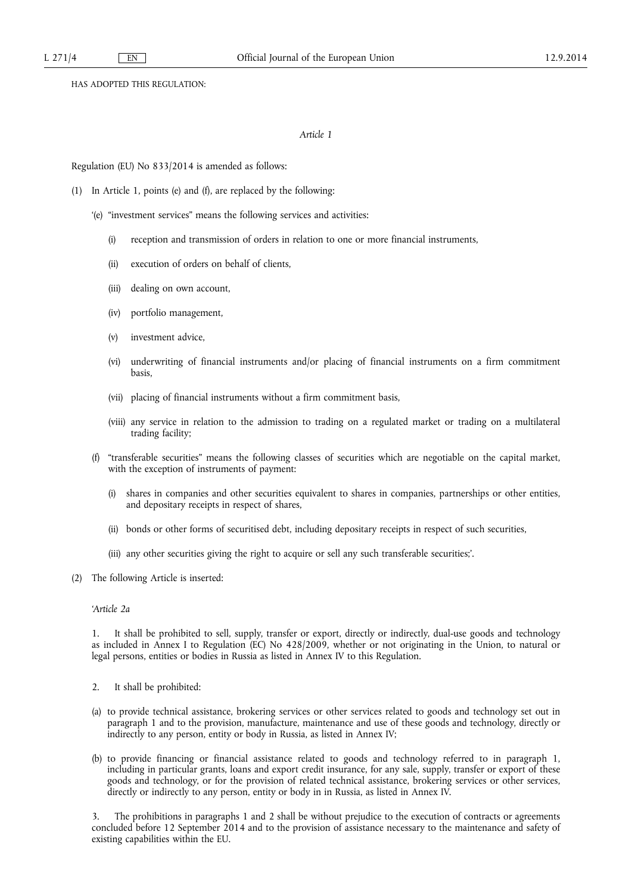HAS ADOPTED THIS REGULATION:

# *Article 1*

Regulation (EU) No 833/2014 is amended as follows:

- (1) In Article 1, points (e) and (f), are replaced by the following:
	- '(e) "investment services" means the following services and activities:
		- (i) reception and transmission of orders in relation to one or more financial instruments,
		- (ii) execution of orders on behalf of clients,
		- (iii) dealing on own account,
		- (iv) portfolio management,
		- (v) investment advice,
		- (vi) underwriting of financial instruments and/or placing of financial instruments on a firm commitment basis,
		- (vii) placing of financial instruments without a firm commitment basis,
		- (viii) any service in relation to the admission to trading on a regulated market or trading on a multilateral trading facility;
	- (f) "transferable securities" means the following classes of securities which are negotiable on the capital market, with the exception of instruments of payment:
		- (i) shares in companies and other securities equivalent to shares in companies, partnerships or other entities, and depositary receipts in respect of shares,
		- (ii) bonds or other forms of securitised debt, including depositary receipts in respect of such securities,
		- (iii) any other securities giving the right to acquire or sell any such transferable securities;'.
- (2) The following Article is inserted:

## *'Article 2a*

1. It shall be prohibited to sell, supply, transfer or export, directly or indirectly, dual-use goods and technology as included in Annex I to Regulation (EC) No 428/2009, whether or not originating in the Union, to natural or legal persons, entities or bodies in Russia as listed in Annex IV to this Regulation.

- 2. It shall be prohibited:
- (a) to provide technical assistance, brokering services or other services related to goods and technology set out in paragraph 1 and to the provision, manufacture, maintenance and use of these goods and technology, directly or indirectly to any person, entity or body in Russia, as listed in Annex IV;
- (b) to provide financing or financial assistance related to goods and technology referred to in paragraph 1, including in particular grants, loans and export credit insurance, for any sale, supply, transfer or export of these goods and technology, or for the provision of related technical assistance, brokering services or other services, directly or indirectly to any person, entity or body in in Russia, as listed in Annex IV.

3. The prohibitions in paragraphs 1 and 2 shall be without prejudice to the execution of contracts or agreements concluded before 12 September 2014 and to the provision of assistance necessary to the maintenance and safety of existing capabilities within the EU.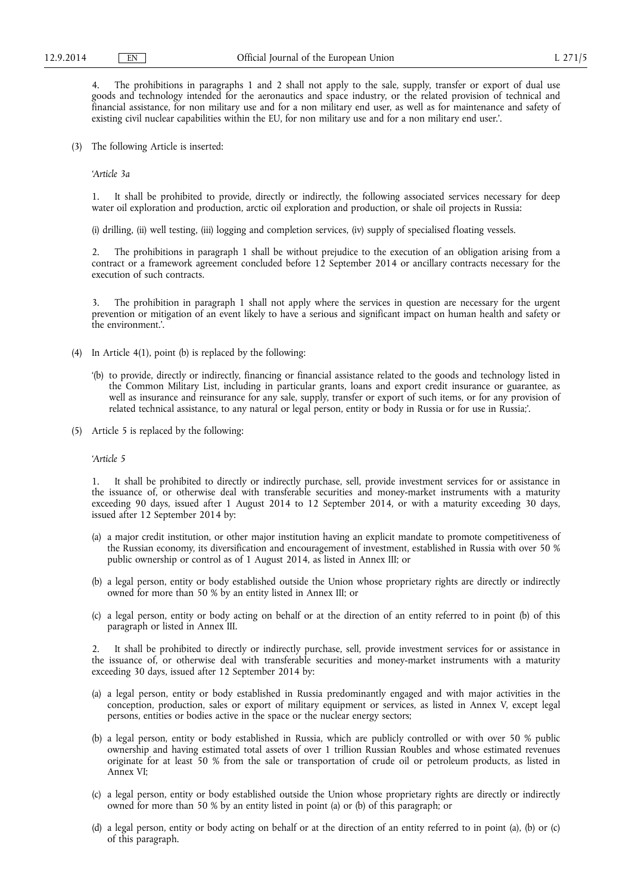4. The prohibitions in paragraphs 1 and 2 shall not apply to the sale, supply, transfer or export of dual use goods and technology intended for the aeronautics and space industry, or the related provision of technical and financial assistance, for non military use and for a non military end user, as well as for maintenance and safety of existing civil nuclear capabilities within the EU, for non military use and for a non military end user.'.

(3) The following Article is inserted:

*'Article 3a* 

1. It shall be prohibited to provide, directly or indirectly, the following associated services necessary for deep water oil exploration and production, arctic oil exploration and production, or shale oil projects in Russia:

(i) drilling, (ii) well testing, (iii) logging and completion services, (iv) supply of specialised floating vessels.

2. The prohibitions in paragraph 1 shall be without prejudice to the execution of an obligation arising from a contract or a framework agreement concluded before 12 September 2014 or ancillary contracts necessary for the execution of such contracts.

3. The prohibition in paragraph 1 shall not apply where the services in question are necessary for the urgent prevention or mitigation of an event likely to have a serious and significant impact on human health and safety or the environment.'.

- (4) In Article 4(1), point (b) is replaced by the following:
	- '(b) to provide, directly or indirectly, financing or financial assistance related to the goods and technology listed in the Common Military List, including in particular grants, loans and export credit insurance or guarantee, as well as insurance and reinsurance for any sale, supply, transfer or export of such items, or for any provision of related technical assistance, to any natural or legal person, entity or body in Russia or for use in Russia;'.
- (5) Article 5 is replaced by the following:

*'Article 5* 

1. It shall be prohibited to directly or indirectly purchase, sell, provide investment services for or assistance in the issuance of, or otherwise deal with transferable securities and money-market instruments with a maturity exceeding 90 days, issued after 1 August 2014 to 12 September 2014, or with a maturity exceeding 30 days, issued after 12 September 2014 by:

- (a) a major credit institution, or other major institution having an explicit mandate to promote competitiveness of the Russian economy, its diversification and encouragement of investment, established in Russia with over 50 % public ownership or control as of 1 August 2014, as listed in Annex III; or
- (b) a legal person, entity or body established outside the Union whose proprietary rights are directly or indirectly owned for more than 50 % by an entity listed in Annex III; or
- (c) a legal person, entity or body acting on behalf or at the direction of an entity referred to in point (b) of this paragraph or listed in Annex III.

2. It shall be prohibited to directly or indirectly purchase, sell, provide investment services for or assistance in the issuance of, or otherwise deal with transferable securities and money-market instruments with a maturity exceeding 30 days, issued after 12 September 2014 by:

- (a) a legal person, entity or body established in Russia predominantly engaged and with major activities in the conception, production, sales or export of military equipment or services, as listed in Annex V, except legal persons, entities or bodies active in the space or the nuclear energy sectors;
- (b) a legal person, entity or body established in Russia, which are publicly controlled or with over 50 % public ownership and having estimated total assets of over 1 trillion Russian Roubles and whose estimated revenues originate for at least 50 % from the sale or transportation of crude oil or petroleum products, as listed in Annex VI;
- (c) a legal person, entity or body established outside the Union whose proprietary rights are directly or indirectly owned for more than 50 % by an entity listed in point (a) or (b) of this paragraph; or
- (d) a legal person, entity or body acting on behalf or at the direction of an entity referred to in point (a), (b) or (c) of this paragraph.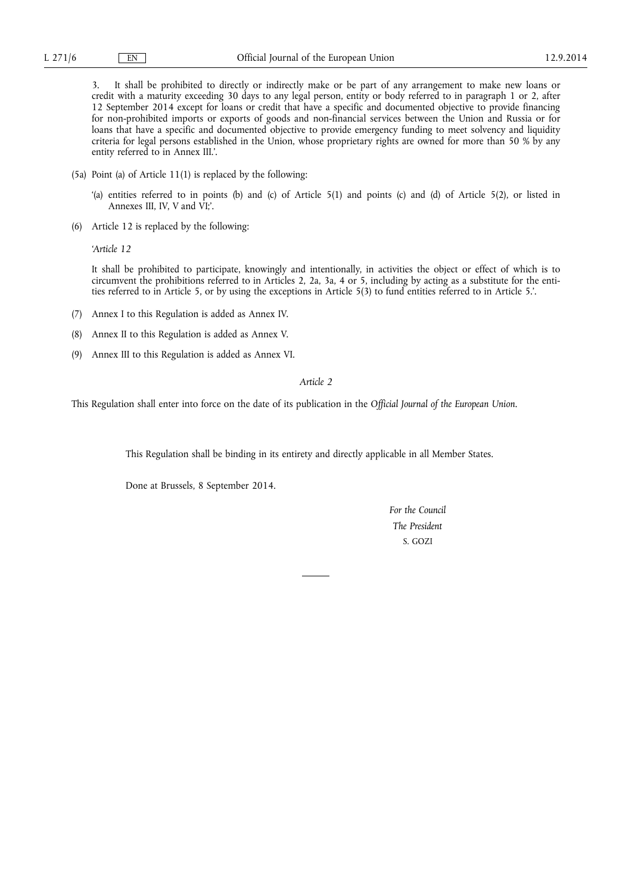3. It shall be prohibited to directly or indirectly make or be part of any arrangement to make new loans or credit with a maturity exceeding 30 days to any legal person, entity or body referred to in paragraph 1 or 2, after 12 September 2014 except for loans or credit that have a specific and documented objective to provide financing for non-prohibited imports or exports of goods and non-financial services between the Union and Russia or for loans that have a specific and documented objective to provide emergency funding to meet solvency and liquidity criteria for legal persons established in the Union, whose proprietary rights are owned for more than 50 % by any entity referred to in Annex III.'.

- (5a) Point (a) of Article 11(1) is replaced by the following:
	- '(a) entities referred to in points (b) and (c) of Article 5(1) and points (c) and (d) of Article 5(2), or listed in Annexes III, IV, V and VI;'.
- (6) Article 12 is replaced by the following:

*'Article 12* 

It shall be prohibited to participate, knowingly and intentionally, in activities the object or effect of which is to circumvent the prohibitions referred to in Articles 2, 2a, 3a, 4 or 5, including by acting as a substitute for the entities referred to in Article 5, or by using the exceptions in Article 5(3) to fund entities referred to in Article 5.'.

- (7) Annex I to this Regulation is added as Annex IV.
- (8) Annex II to this Regulation is added as Annex V.
- (9) Annex III to this Regulation is added as Annex VI.

## *Article 2*

This Regulation shall enter into force on the date of its publication in the *Official Journal of the European Union*.

This Regulation shall be binding in its entirety and directly applicable in all Member States.

Done at Brussels, 8 September 2014.

*For the Council The President*  S. GOZI